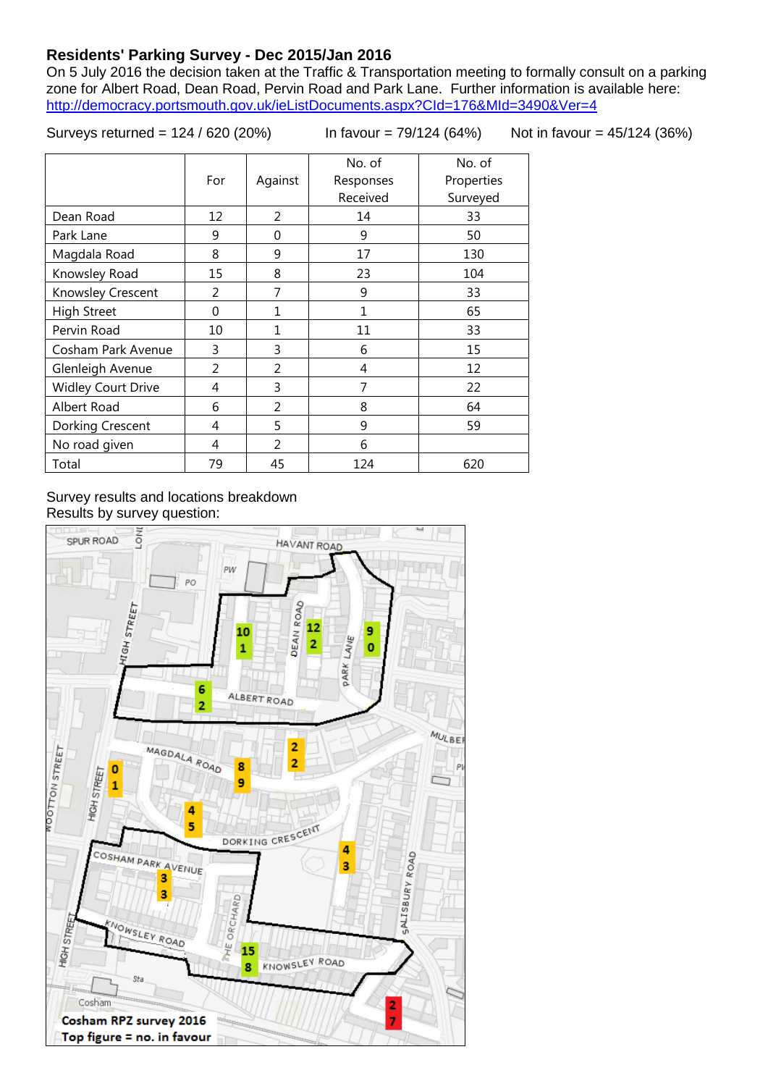## **Residents' Parking Survey - Dec 2015/Jan 2016**

On 5 July 2016 the decision taken at the Traffic & Transportation meeting to formally consult on a parking zone for Albert Road, Dean Road, Pervin Road and Park Lane. Further information is available here: <http://democracy.portsmouth.gov.uk/ieListDocuments.aspx?CId=176&MId=3490&Ver=4>

Surveys returned = 124 / 620 (20%) In favour = 79/124 (64%) Not in favour = 45/124 (36%)

|                           | For | Against | No. of<br>Responses<br>Received | No. of<br>Properties<br>Surveyed |
|---------------------------|-----|---------|---------------------------------|----------------------------------|
| Dean Road                 | 12  | 2       | 14                              | 33                               |
| Park Lane                 | 9   | 0       | 9                               | 50                               |
| Magdala Road              | 8   | 9       | 17                              | 130                              |
| Knowsley Road             | 15  | 8       | 23                              | 104                              |
| Knowsley Crescent         | 2   | 7       | 9                               | 33                               |
| <b>High Street</b>        | 0   | 1       | 1                               | 65                               |
| Pervin Road               | 10  | 1       | 11                              | 33                               |
| Cosham Park Avenue        | 3   | 3       | 6                               | 15                               |
| Glenleigh Avenue          | 2   | 2       | 4                               | 12                               |
| <b>Widley Court Drive</b> | 4   | 3       | 7                               | 22                               |
| Albert Road               | 6   | 2       | 8                               | 64                               |
| Dorking Crescent          | 4   | 5       | 9                               | 59                               |
| No road given             | 4   | 2       | 6                               |                                  |
| Total                     | 79  | 45      | 124                             | 620                              |

## Survey results and locations breakdown Results by survey question:

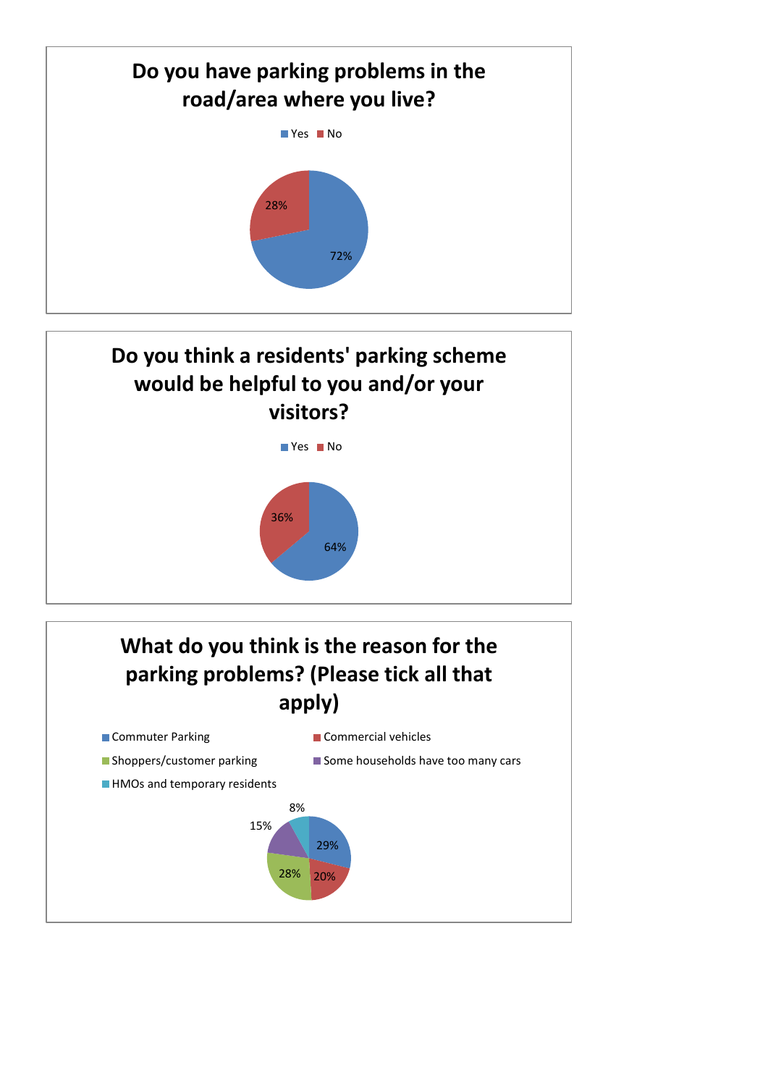



## **What do you think is the reason for the parking problems? (Please tick all that apply)**